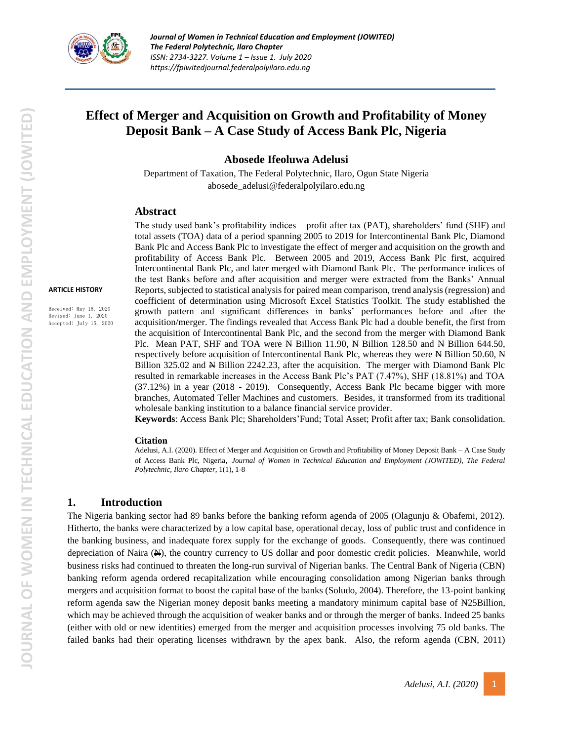

# **Effect of Merger and Acquisition on Growth and Profitability of Money Deposit Bank – A Case Study of Access Bank Plc, Nigeria**

**Abosede Ifeoluwa Adelusi**

Department of Taxation, The Federal Polytechnic, Ilaro, Ogun State Nigeria abosede\_adelusi@federalpolyilaro.edu.ng

#### **Abstract**

**ARTICLE HISTORY**

Received: May 16, 2020 Revised: June 1, 2020 Accepted: July 15, 2020 The study used bank's profitability indices – profit after tax (PAT), shareholders' fund (SHF) and total assets (TOA) data of a period spanning 2005 to 2019 for Intercontinental Bank Plc, Diamond Bank Plc and Access Bank Plc to investigate the effect of merger and acquisition on the growth and profitability of Access Bank Plc. Between 2005 and 2019, Access Bank Plc first, acquired Intercontinental Bank Plc, and later merged with Diamond Bank Plc. The performance indices of the test Banks before and after acquisition and merger were extracted from the Banks' Annual Reports, subjected to statistical analysis for paired mean comparison, trend analysis (regression) and coefficient of determination using Microsoft Excel Statistics Toolkit. The study established the growth pattern and significant differences in banks' performances before and after the acquisition/merger. The findings revealed that Access Bank Plc had a double benefit, the first from the acquisition of Intercontinental Bank Plc, and the second from the merger with Diamond Bank Plc. Mean PAT, SHF and TOA were  $\cancel{\text{H}}$  Billion 11.90,  $\cancel{\text{H}}$  Billion 128.50 and  $\cancel{\text{H}}$  Billion 644.50, respectively before acquisition of Intercontinental Bank Plc, whereas they were  $\triangle$  Billion 50.60,  $\triangle$ Billion 325.02 and N Billion 2242.23, after the acquisition. The merger with Diamond Bank Plc resulted in remarkable increases in the Access Bank Plc's PAT (7.47%), SHF (18.81%) and TOA (37.12%) in a year (2018 - 2019). Consequently, Access Bank Plc became bigger with more branches, Automated Teller Machines and customers. Besides, it transformed from its traditional wholesale banking institution to a balance financial service provider.

**Keywords**: Access Bank Plc; Shareholders'Fund; Total Asset; Profit after tax; Bank consolidation.

#### **Citation**

Adelusi, A.I. (2020). Effect of Merger and Acquisition on Growth and Profitability of Money Deposit Bank – A Case Study of Access Bank Plc, Nigeria, *Journal of Women in Technical Education and Employment (JOWITED), The Federal Polytechnic, Ilaro Chapter*, 1(1), 1-8

### **1. Introduction**

The Nigeria banking sector had 89 banks before the banking reform agenda of 2005 (Olagunju & Obafemi, 2012). Hitherto, the banks were characterized by a low capital base, operational decay, loss of public trust and confidence in the banking business, and inadequate forex supply for the exchange of goods. Consequently, there was continued depreciation of Naira (N), the country currency to US dollar and poor domestic credit policies. Meanwhile, world business risks had continued to threaten the long-run survival of Nigerian banks. The Central Bank of Nigeria (CBN) banking reform agenda ordered recapitalization while encouraging consolidation among Nigerian banks through mergers and acquisition format to boost the capital base of the banks (Soludo, 2004). Therefore, the 13-point banking reform agenda saw the Nigerian money deposit banks meeting a mandatory minimum capital base of N25Billion, which may be achieved through the acquisition of weaker banks and or through the merger of banks. Indeed 25 banks (either with old or new identities) emerged from the merger and acquisition processes involving 75 old banks. The failed banks had their operating licenses withdrawn by the apex bank. Also, the reform agenda (CBN, 2011)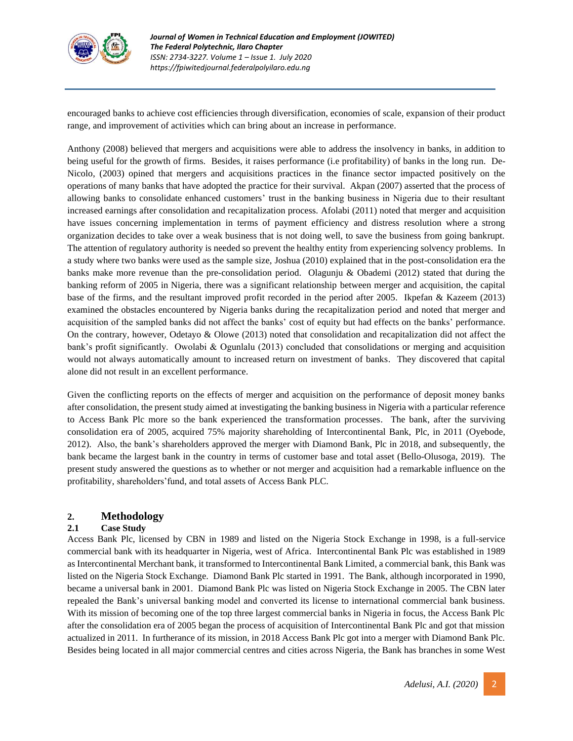

encouraged banks to achieve cost efficiencies through diversification, economies of scale, expansion of their product range, and improvement of activities which can bring about an increase in performance.

Anthony (2008) believed that mergers and acquisitions were able to address the insolvency in banks, in addition to being useful for the growth of firms. Besides, it raises performance (i.e profitability) of banks in the long run. De-Nicolo, (2003) opined that mergers and acquisitions practices in the finance sector impacted positively on the operations of many banks that have adopted the practice for their survival. Akpan (2007) asserted that the process of allowing banks to consolidate enhanced customers' trust in the banking business in Nigeria due to their resultant increased earnings after consolidation and recapitalization process. Afolabi (2011) noted that merger and acquisition have issues concerning implementation in terms of payment efficiency and distress resolution where a strong organization decides to take over a weak business that is not doing well, to save the business from going bankrupt. The attention of regulatory authority is needed so prevent the healthy entity from experiencing solvency problems. In a study where two banks were used as the sample size, Joshua (2010) explained that in the post-consolidation era the banks make more revenue than the pre-consolidation period. Olagunju & Obademi (2012) stated that during the banking reform of 2005 in Nigeria, there was a significant relationship between merger and acquisition, the capital base of the firms, and the resultant improved profit recorded in the period after 2005. Ikpefan & Kazeem (2013) examined the obstacles encountered by Nigeria banks during the recapitalization period and noted that merger and acquisition of the sampled banks did not affect the banks' cost of equity but had effects on the banks' performance. On the contrary, however, Odetayo & Olowe (2013) noted that consolidation and recapitalization did not affect the bank's profit significantly. Owolabi & Ogunlalu (2013) concluded that consolidations or merging and acquisition would not always automatically amount to increased return on investment of banks. They discovered that capital alone did not result in an excellent performance.

Given the conflicting reports on the effects of merger and acquisition on the performance of deposit money banks after consolidation, the present study aimed at investigating the banking business in Nigeria with a particular reference to Access Bank Plc more so the bank experienced the transformation processes. The bank, after the surviving consolidation era of 2005, acquired 75% majority shareholding of Intercontinental Bank, Plc, in 2011 (Oyebode, 2012). Also, the bank's shareholders approved the merger with Diamond Bank, Plc in 2018, and subsequently, the bank became the largest bank in the country in terms of customer base and total asset (Bello-Olusoga, 2019). The present study answered the questions as to whether or not merger and acquisition had a remarkable influence on the profitability, shareholders'fund, and total assets of Access Bank PLC.

# **2. Methodology**

### **2.1 Case Study**

Access Bank Plc, licensed by CBN in 1989 and listed on the Nigeria Stock Exchange in 1998, is a full-service commercial bank with its headquarter in Nigeria, west of Africa. Intercontinental Bank Plc was established in 1989 as Intercontinental Merchant bank, it transformed to Intercontinental Bank Limited, a commercial bank, this Bank was listed on the Nigeria Stock Exchange. Diamond Bank Plc started in 1991. The Bank, although incorporated in 1990, became a universal bank in 2001. Diamond Bank Plc was listed on Nigeria Stock Exchange in 2005. The CBN later repealed the Bank's universal banking model and converted its license to international commercial bank business. With its mission of becoming one of the top three largest commercial banks in Nigeria in focus, the Access Bank Plc after the consolidation era of 2005 began the process of acquisition of Intercontinental Bank Plc and got that mission actualized in 2011. In furtherance of its mission, in 2018 Access Bank Plc got into a merger with Diamond Bank Plc. Besides being located in all major commercial centres and cities across Nigeria, the Bank has branches in some West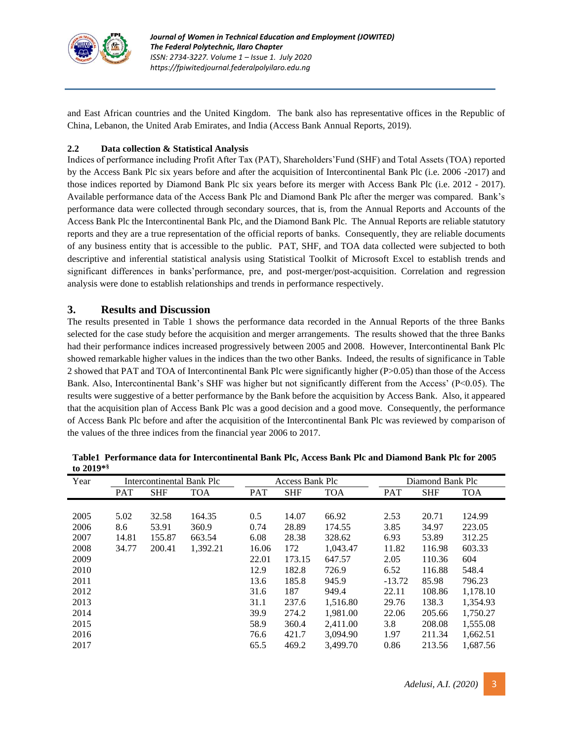

and East African countries and the United Kingdom. The bank also has representative offices in the Republic of China, Lebanon, the United Arab Emirates, and India (Access Bank Annual Reports, 2019).

## **2.2 Data collection & Statistical Analysis**

Indices of performance including Profit After Tax (PAT), Shareholders'Fund (SHF) and Total Assets (TOA) reported by the Access Bank Plc six years before and after the acquisition of Intercontinental Bank Plc (i.e. 2006 -2017) and those indices reported by Diamond Bank Plc six years before its merger with Access Bank Plc (i.e. 2012 - 2017). Available performance data of the Access Bank Plc and Diamond Bank Plc after the merger was compared. Bank's performance data were collected through secondary sources, that is, from the Annual Reports and Accounts of the Access Bank Plc the Intercontinental Bank Plc, and the Diamond Bank Plc. The Annual Reports are reliable statutory reports and they are a true representation of the official reports of banks. Consequently, they are reliable documents of any business entity that is accessible to the public. PAT, SHF, and TOA data collected were subjected to both descriptive and inferential statistical analysis using Statistical Toolkit of Microsoft Excel to establish trends and significant differences in banks'performance, pre, and post-merger/post-acquisition. Correlation and regression analysis were done to establish relationships and trends in performance respectively.

# **3. Results and Discussion**

The results presented in Table 1 shows the performance data recorded in the Annual Reports of the three Banks selected for the case study before the acquisition and merger arrangements. The results showed that the three Banks had their performance indices increased progressively between 2005 and 2008. However, Intercontinental Bank Plc showed remarkable higher values in the indices than the two other Banks. Indeed, the results of significance in Table 2 showed that PAT and TOA of Intercontinental Bank Plc were significantly higher (P>0.05) than those of the Access Bank. Also, Intercontinental Bank's SHF was higher but not significantly different from the Access' (P<0.05). The results were suggestive of a better performance by the Bank before the acquisition by Access Bank. Also, it appeared that the acquisition plan of Access Bank Plc was a good decision and a good move. Consequently, the performance of Access Bank Plc before and after the acquisition of the Intercontinental Bank Plc was reviewed by comparison of the values of the three indices from the financial year 2006 to 2017.

| Year | Intercontinental Bank Plc |            |            | <b>Access Bank Plc</b> |            |            | Diamond Bank Plc |            |            |
|------|---------------------------|------------|------------|------------------------|------------|------------|------------------|------------|------------|
|      | <b>PAT</b>                | <b>SHF</b> | <b>TOA</b> | <b>PAT</b>             | <b>SHF</b> | <b>TOA</b> | <b>PAT</b>       | <b>SHF</b> | <b>TOA</b> |
|      |                           |            |            |                        |            |            |                  |            |            |
| 2005 | 5.02                      | 32.58      | 164.35     | 0.5                    | 14.07      | 66.92      | 2.53             | 20.71      | 124.99     |
| 2006 | 8.6                       | 53.91      | 360.9      | 0.74                   | 28.89      | 174.55     | 3.85             | 34.97      | 223.05     |
| 2007 | 14.81                     | 155.87     | 663.54     | 6.08                   | 28.38      | 328.62     | 6.93             | 53.89      | 312.25     |
| 2008 | 34.77                     | 200.41     | 1,392.21   | 16.06                  | 172        | 1,043.47   | 11.82            | 116.98     | 603.33     |
| 2009 |                           |            |            | 22.01                  | 173.15     | 647.57     | 2.05             | 110.36     | 604        |
| 2010 |                           |            |            | 12.9                   | 182.8      | 726.9      | 6.52             | 116.88     | 548.4      |
| 2011 |                           |            |            | 13.6                   | 185.8      | 945.9      | $-13.72$         | 85.98      | 796.23     |
| 2012 |                           |            |            | 31.6                   | 187        | 949.4      | 22.11            | 108.86     | 1,178.10   |
| 2013 |                           |            |            | 31.1                   | 237.6      | 1,516.80   | 29.76            | 138.3      | 1,354.93   |
| 2014 |                           |            |            | 39.9                   | 274.2      | 1.981.00   | 22.06            | 205.66     | 1,750.27   |
| 2015 |                           |            |            | 58.9                   | 360.4      | 2.411.00   | 3.8              | 208.08     | 1,555.08   |
| 2016 |                           |            |            | 76.6                   | 421.7      | 3,094.90   | 1.97             | 211.34     | 1,662.51   |
| 2017 |                           |            |            | 65.5                   | 469.2      | 3,499.70   | 0.86             | 213.56     | 1,687.56   |

| Table1 Performance data for Intercontinental Bank Plc. Access Bank Plc and Diamond Bank Plc for 2005 |
|------------------------------------------------------------------------------------------------------|
| to $2019**$                                                                                          |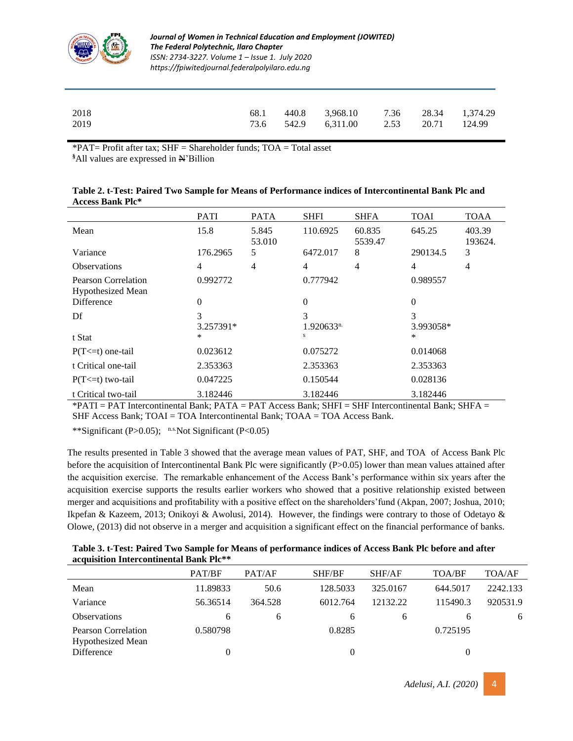

#### *Journal of Women in Technical Education and Employment (JOWITED) The Federal Polytechnic, Ilaro Chapter ISSN: 2734-3227. Volume 1 – Issue 1. July 2020 https://fpiwitedjournal.federalpolyilaro.edu.ng*

| 2018 | 68.1 | 440.8 3,968.10 7.36 28.34 1,374.29    |  |  |
|------|------|---------------------------------------|--|--|
| 2019 |      | 73.6 542.9 6.311.00 2.53 20.71 124.99 |  |  |

 $*PAT=$  Profit after tax; SHF = Shareholder funds; TOA = Total asset

**§**All values are expressed in N'Billion

|                                          | <b>PATI</b>    | <b>PATA</b>     | <b>SHFI</b>         | <b>SHFA</b>       | <b>TOAI</b>    | <b>TOAA</b>       |
|------------------------------------------|----------------|-----------------|---------------------|-------------------|----------------|-------------------|
| Mean                                     | 15.8           | 5.845<br>53.010 | 110.6925            | 60.835<br>5539.47 | 645.25         | 403.39<br>193624. |
| Variance                                 | 176.2965       | 5               | 6472.017            | 8                 | 290134.5       | 3                 |
| <b>Observations</b>                      | 4              | 4               | $\overline{4}$      | $\overline{4}$    | 4              | 4                 |
| Pearson Correlation<br>Hypothesized Mean | 0.992772       |                 | 0.777942            |                   | 0.989557       |                   |
| <b>Difference</b>                        | $\theta$       |                 | $\overline{0}$      |                   | $\Omega$       |                   |
| Df                                       | 3<br>3.257391* |                 | 3<br>$1.920633^{n}$ |                   | 3<br>3.993058* |                   |
| t Stat                                   | *              |                 | s                   |                   | *              |                   |
| $P(T \le t)$ one-tail                    | 0.023612       |                 | 0.075272            |                   | 0.014068       |                   |
| t Critical one-tail                      | 2.353363       |                 | 2.353363            |                   | 2.353363       |                   |
| $P(T \le t)$ two-tail                    | 0.047225       |                 | 0.150544            |                   | 0.028136       |                   |
| t Critical two-tail                      | 3.182446       |                 | 3.182446            |                   | 3.182446       |                   |

| Table 2. t-Test: Paired Two Sample for Means of Performance indices of Intercontinental Bank Plc and |  |
|------------------------------------------------------------------------------------------------------|--|
| <b>Access Bank Plc*</b>                                                                              |  |

 $*$ PATI = PAT Intercontinental Bank; PATA = PAT Access Bank; SHFI = SHF Intercontinental Bank; SHFA = SHF Access Bank; TOAI = TOA Intercontinental Bank; TOAA = TOA Access Bank.

\*\*Significant (P>0.05); n.s. Not Significant (P<0.05)

The results presented in Table 3 showed that the average mean values of PAT, SHF, and TOA of Access Bank Plc before the acquisition of Intercontinental Bank Plc were significantly (P>0.05) lower than mean values attained after the acquisition exercise. The remarkable enhancement of the Access Bank's performance within six years after the acquisition exercise supports the results earlier workers who showed that a positive relationship existed between merger and acquisitions and profitability with a positive effect on the shareholders'fund (Akpan, 2007; Joshua, 2010; Ikpefan & Kazeem, 2013; Onikoyi & Awolusi, 2014). However, the findings were contrary to those of Odetayo & Olowe, (2013) did not observe in a merger and acquisition a significant effect on the financial performance of banks.

**Table 3. t-Test: Paired Two Sample for Means of performance indices of Access Bank Plc before and after acquisition Intercontinental Bank Plc\*\***

|                                                 | PAT/BF   | PAT/AF  | SHF/BF   | SHF/AF   | TOA/BF   | TOA/AF   |
|-------------------------------------------------|----------|---------|----------|----------|----------|----------|
| Mean                                            | 11.89833 | 50.6    | 128.5033 | 325,0167 | 644.5017 | 2242.133 |
| Variance                                        | 56.36514 | 364.528 | 6012.764 | 12132.22 | 115490.3 | 920531.9 |
| <b>Observations</b>                             | 6        | 6       | 6        | 6        | h        | 6        |
| Pearson Correlation<br><b>Hypothesized Mean</b> | 0.580798 |         | 0.8285   |          | 0.725195 |          |
| Difference                                      | 0        |         | 0        |          | 0        |          |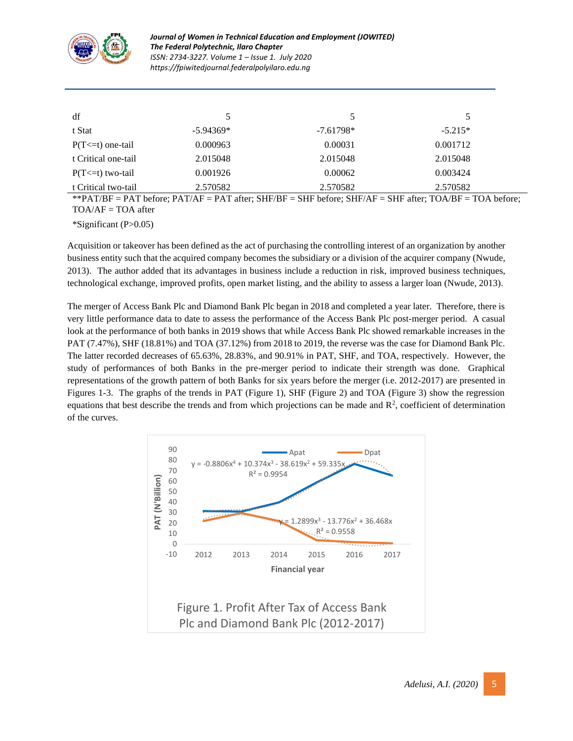

| df                    | 5           |             | $\mathcal{L}$ |
|-----------------------|-------------|-------------|---------------|
| t Stat                | $-5.94369*$ | $-7.61798*$ | $-5.215*$     |
| $P(T \le t)$ one-tail | 0.000963    | 0.00031     | 0.001712      |
| t Critical one-tail   | 2.015048    | 2.015048    | 2.015048      |
| $P(T \le t)$ two-tail | 0.001926    | 0.00062     | 0.003424      |
| t Critical two-tail   | 2.570582    | 2.570582    | 2.570582      |

\*\*PAT/BF = PAT before; PAT/AF = PAT after; SHF/BF = SHF before; SHF/AF = SHF after; TOA/BF = TOA before;  $TOA/AF = TOA$  after

\*Significant (P>0.05)

Acquisition or takeover has been defined as the act of purchasing the controlling interest of an organization by another business entity such that the acquired company becomes the subsidiary or a division of the acquirer company (Nwude, 2013). The author added that its advantages in business include a reduction in risk, improved business techniques, technological exchange, improved profits, open market listing, and the ability to assess a larger loan (Nwude, 2013).

The merger of Access Bank Plc and Diamond Bank Plc began in 2018 and completed a year later. Therefore, there is very little performance data to date to assess the performance of the Access Bank Plc post-merger period. A casual look at the performance of both banks in 2019 shows that while Access Bank Plc showed remarkable increases in the PAT (7.47%), SHF (18.81%) and TOA (37.12%) from 2018 to 2019, the reverse was the case for Diamond Bank Plc. The latter recorded decreases of 65.63%, 28.83%, and 90.91% in PAT, SHF, and TOA, respectively. However, the study of performances of both Banks in the pre-merger period to indicate their strength was done. Graphical representations of the growth pattern of both Banks for six years before the merger (i.e. 2012-2017) are presented in Figures 1-3. The graphs of the trends in PAT (Figure 1), SHF (Figure 2) and TOA (Figure 3) show the regression equations that best describe the trends and from which projections can be made and  $\mathbb{R}^2$ , coefficient of determination of the curves.

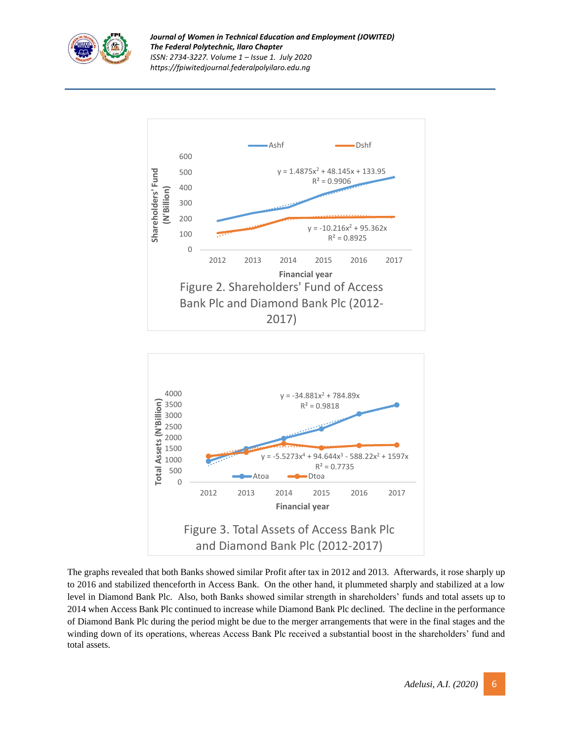





The graphs revealed that both Banks showed similar Profit after tax in 2012 and 2013. Afterwards, it rose sharply up to 2016 and stabilized thenceforth in Access Bank. On the other hand, it plummeted sharply and stabilized at a low level in Diamond Bank Plc. Also, both Banks showed similar strength in shareholders' funds and total assets up to 2014 when Access Bank Plc continued to increase while Diamond Bank Plc declined. The decline in the performance of Diamond Bank Plc during the period might be due to the merger arrangements that were in the final stages and the winding down of its operations, whereas Access Bank Plc received a substantial boost in the shareholders' fund and total assets.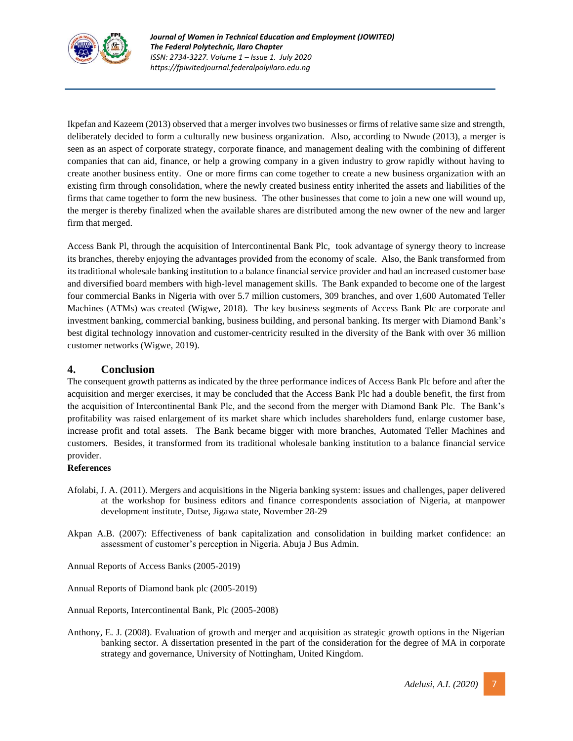

Ikpefan and Kazeem (2013) observed that a merger involves two businesses or firms of relative same size and strength, deliberately decided to form a culturally new business organization. Also, according to Nwude (2013), a merger is seen as an aspect of corporate strategy, corporate finance, and management dealing with the combining of different companies that can aid, finance, or help a growing company in a given industry to grow rapidly without having to create another business entity. One or more firms can come together to create a new business organization with an existing firm through consolidation, where the newly created business entity inherited the assets and liabilities of the firms that came together to form the new business. The other businesses that come to join a new one will wound up, the merger is thereby finalized when the available shares are distributed among the new owner of the new and larger firm that merged.

Access Bank Pl, through the acquisition of Intercontinental Bank Plc, took advantage of synergy theory to increase its branches, thereby enjoying the advantages provided from the economy of scale. Also, the Bank transformed from its traditional wholesale banking institution to a balance financial service provider and had an increased customer base and diversified board members with high-level management skills. The Bank expanded to become one of the largest four commercial Banks in [Nigeria](https://en.wikipedia.org/wiki/Nigeria) with over 5.7 million customers, 309 branches, and over 1,600 [Automated Teller](https://en.wikipedia.org/wiki/Automated_teller_machine)  [Machines](https://en.wikipedia.org/wiki/Automated_teller_machine) (ATMs) was created (Wigwe, 2018). The key business segments of Access Bank Plc are corporate and investment banking, commercial banking, business building, and personal banking. Its merger with Diamond Bank's best digital technology innovation and customer-centricity resulted in the diversity of the Bank with over 36 million customer networks (Wigwe, 2019).

# **4. Conclusion**

The consequent growth patterns as indicated by the three performance indices of Access Bank Plc before and after the acquisition and merger exercises, it may be concluded that the Access Bank Plc had a double benefit, the first from the acquisition of Intercontinental Bank Plc, and the second from the merger with Diamond Bank Plc. The Bank's profitability was raised enlargement of its market share which includes shareholders fund, enlarge customer base, increase profit and total assets. The Bank became bigger with more branches, Automated Teller Machines and customers. Besides, it transformed from its traditional wholesale banking institution to a balance financial service provider.

### **References**

- Afolabi, J. A. (2011). Mergers and acquisitions in the Nigeria banking system: issues and challenges, paper delivered at the workshop for business editors and finance correspondents association of Nigeria, at manpower development institute, Dutse, Jigawa state, November 28-29
- Akpan A.B. (2007): Effectiveness of bank capitalization and consolidation in building market confidence: an assessment of customer's perception in Nigeria. Abuja J Bus Admin.

Annual Reports of Access Banks (2005-2019)

Annual Reports of Diamond bank plc (2005-2019)

Annual Reports, Intercontinental Bank, Plc (2005-2008)

Anthony, E. J. (2008). Evaluation of growth and merger and acquisition as strategic growth options in the Nigerian banking sector. A dissertation presented in the part of the consideration for the degree of MA in corporate strategy and governance, University of Nottingham, United Kingdom.